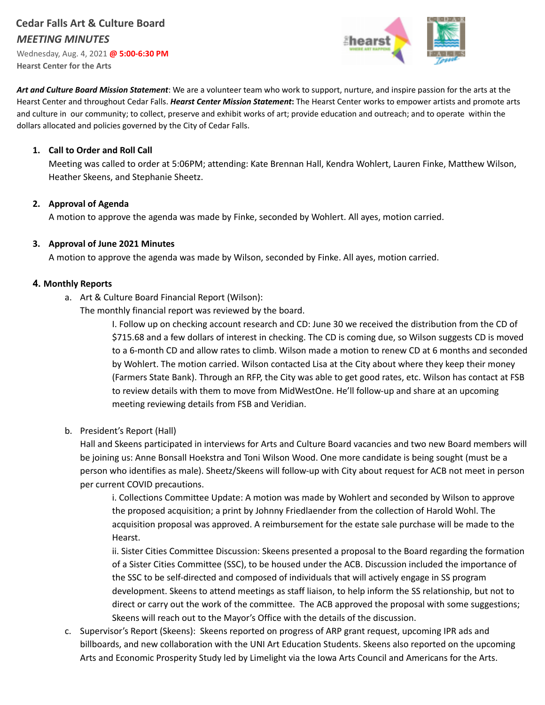# **Cedar Falls Art & Culture Board** *MEETING MINUTES*

Wednesday, Aug. 4, 2021 **@ 5:00-6:30 PM Hearst Center for the Arts**



*Art and Culture Board Mission Statement*: We are a volunteer team who work to support, nurture, and inspire passion for the arts at the Hearst Center and throughout Cedar Falls. *Hearst Center Mission Statement***:** The Hearst Center works to empower artists and promote arts and culture in our community; to collect, preserve and exhibit works of art; provide education and outreach; and to operate within the dollars allocated and policies governed by the City of Cedar Falls.

#### **1. Call to Order and Roll Call**

Meeting was called to order at 5:06PM; attending: Kate Brennan Hall, Kendra Wohlert, Lauren Finke, Matthew Wilson, Heather Skeens, and Stephanie Sheetz.

#### **2. Approval of Agenda**

A motion to approve the agenda was made by Finke, seconded by Wohlert. All ayes, motion carried.

#### **3. Approval of June 2021 Minutes**

A motion to approve the agenda was made by Wilson, seconded by Finke. All ayes, motion carried.

#### **4. Monthly Reports**

a. Art & Culture Board Financial Report (Wilson):

The monthly financial report was reviewed by the board.

I. Follow up on checking account research and CD: June 30 we received the distribution from the CD of \$715.68 and a few dollars of interest in checking. The CD is coming due, so Wilson suggests CD is moved to a 6-month CD and allow rates to climb. Wilson made a motion to renew CD at 6 months and seconded by Wohlert. The motion carried. Wilson contacted Lisa at the City about where they keep their money (Farmers State Bank). Through an RFP, the City was able to get good rates, etc. Wilson has contact at FSB to review details with them to move from MidWestOne. He'll follow-up and share at an upcoming meeting reviewing details from FSB and Veridian.

b. President's Report (Hall)

Hall and Skeens participated in interviews for Arts and Culture Board vacancies and two new Board members will be joining us: Anne Bonsall Hoekstra and Toni Wilson Wood. One more candidate is being sought (must be a person who identifies as male). Sheetz/Skeens will follow-up with City about request for ACB not meet in person per current COVID precautions.

i. Collections Committee Update: A motion was made by Wohlert and seconded by Wilson to approve the proposed acquisition; a print by Johnny Friedlaender from the collection of Harold Wohl. The acquisition proposal was approved. A reimbursement for the estate sale purchase will be made to the Hearst.

ii. Sister Cities Committee Discussion: Skeens presented a proposal to the Board regarding the formation of a Sister Cities Committee (SSC), to be housed under the ACB. Discussion included the importance of the SSC to be self-directed and composed of individuals that will actively engage in SS program development. Skeens to attend meetings as staff liaison, to help inform the SS relationship, but not to direct or carry out the work of the committee. The ACB approved the proposal with some suggestions; Skeens will reach out to the Mayor's Office with the details of the discussion.

c. Supervisor's Report (Skeens): Skeens reported on progress of ARP grant request, upcoming IPR ads and billboards, and new collaboration with the UNI Art Education Students. Skeens also reported on the upcoming Arts and Economic Prosperity Study led by Limelight via the Iowa Arts Council and Americans for the Arts.